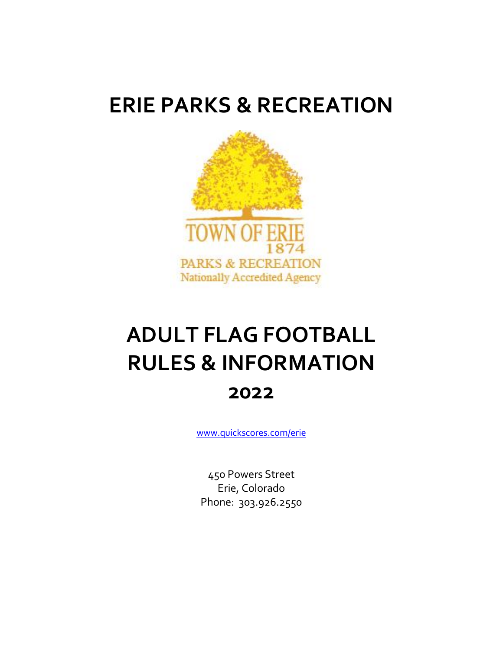# **ERIE PARKS & RECREATION**



# **ADULT FLAG FOOTBALL RULES & INFORMATION 2022**

[www.quickscores.com/erie](http://www.quickscores.com/erie)

450 Powers Street Erie, Colorado Phone: 303.926.2550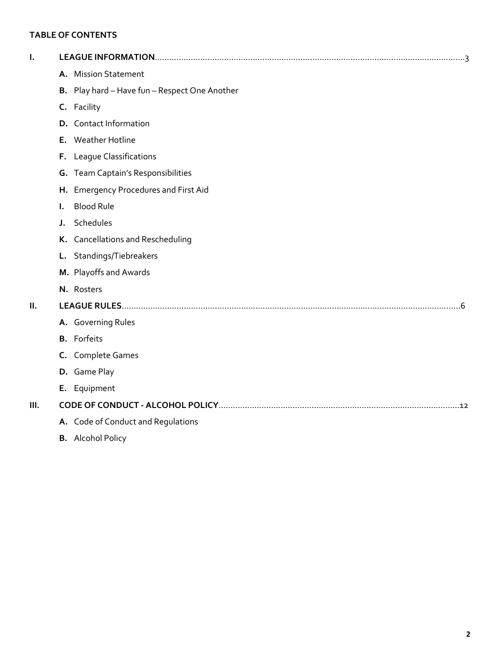# **TABLE OF CONTENTS**

|    | A. Mission Statement                          |
|----|-----------------------------------------------|
|    | B. Play hard - Have fun - Respect One Another |
|    | C. Facility                                   |
|    | <b>D.</b> Contact Information                 |
|    | E. Weather Hotline                            |
|    | F. League Classifications                     |
|    | G. Team Captain's Responsibilities            |
|    | H. Emergency Procedures and First Aid         |
| L. | <b>Blood Rule</b>                             |
| J. | Schedules                                     |
|    | K. Cancellations and Rescheduling             |
|    | L. Standings/Tiebreakers                      |
|    | M. Playoffs and Awards                        |
|    | N. Rosters                                    |
|    |                                               |
|    | A. Governing Rules                            |
|    | <b>B.</b> Forfeits                            |
|    | C. Complete Games                             |
|    | D. Game Play                                  |
|    | E. Equipment                                  |
|    |                                               |
|    | A. Code of Conduct and Regulations            |
|    |                                               |

**B.** Alcohol Policy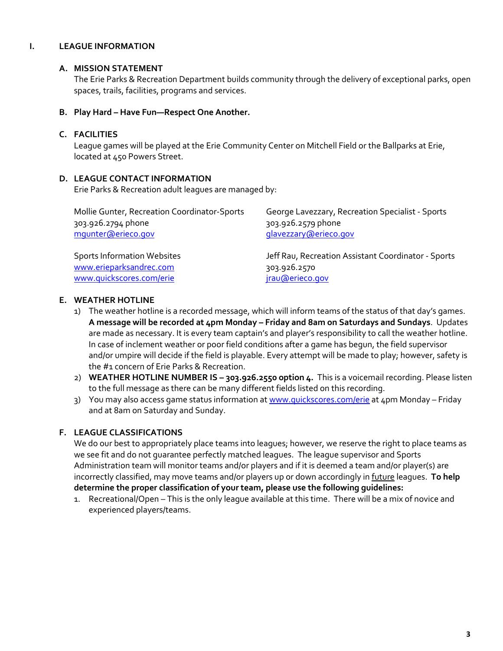#### **I. LEAGUE INFORMATION**

#### **A. MISSION STATEMENT**

The Erie Parks & Recreation Department builds community through the delivery of exceptional parks, open spaces, trails, facilities, programs and services.

#### **B. Play Hard – Have Fun—Respect One Another.**

#### **C. FACILITIES**

League games will be played at the Erie Community Center on Mitchell Field or the Ballparks at Erie, located at 450 Powers Street.

#### **D. LEAGUE CONTACT INFORMATION**

Erie Parks & Recreation adult leagues are managed by:

| Mollie Gunter, Recreation Coordinator-Sports | George Lavezzary, Recreation Specialist - Sports    |
|----------------------------------------------|-----------------------------------------------------|
| 303.926.2794 phone                           | 303.926.2579 phone                                  |
| mqunter@erieco.gov                           | glavezzary@erieco.gov                               |
|                                              |                                                     |
| <b>Sports Information Websites</b>           | Jeff Rau, Recreation Assistant Coordinator - Sports |
| www.erieparksandrec.com                      | 303.926.2570                                        |
| www.quickscores.com/erie                     | jrau@erieco.gov                                     |

# **E. WEATHER HOTLINE**

- 1) The weather hotline is a recorded message, which will inform teams of the status of that day's games. **A message will be recorded at 4pm Monday – Friday and 8am on Saturdays and Sundays**. Updates are made as necessary. It is every team captain's and player's responsibility to call the weather hotline. In case of inclement weather or poor field conditions after a game has begun, the field supervisor and/or umpire will decide if the field is playable. Every attempt will be made to play; however, safety is the #1 concern of Erie Parks & Recreation.
- 2) **WEATHER HOTLINE NUMBER IS – 303.926.2550 option 4.** This is a voicemail recording. Please listen to the full message as there can be many different fields listed on this recording.
- 3) You may also access game status information a[t www.quickscores.com/erie](file:///C:/Documents%20and%20Settings/jpryor/Local%20Settings/Temporary%20Internet%20Files/Content.Outlook/AppData/Local/Temp/Temp1_Attachments_2012_01_14%20(1).zip/www.quickscores.com/erie) at 4pm Monday Friday and at 8am on Saturday and Sunday.

# **F. LEAGUE CLASSIFICATIONS**

We do our best to appropriately place teams into leagues; however, we reserve the right to place teams as we see fit and do not guarantee perfectly matched leagues. The league supervisor and Sports Administration team will monitor teams and/or players and if it is deemed a team and/or player(s) are incorrectly classified, may move teams and/or players up or down accordingly in future leagues. **To help determine the proper classification of your team, please use the following guidelines:** 

1. Recreational/Open – This is the only league available at this time. There will be a mix of novice and experienced players/teams.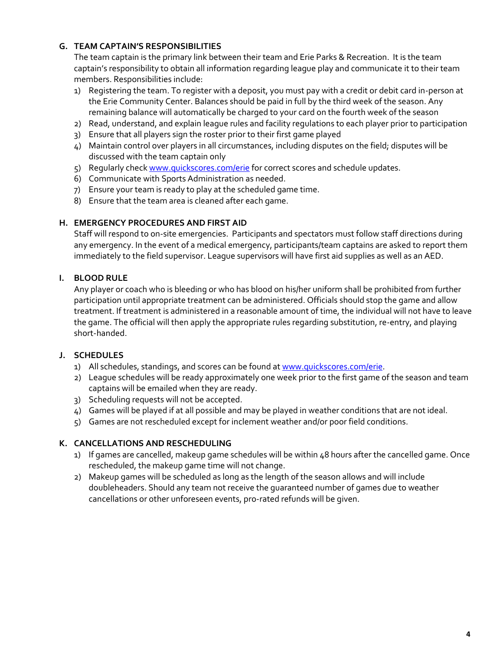# **G. TEAM CAPTAIN'S RESPONSIBILITIES**

The team captain is the primary link between their team and Erie Parks & Recreation. It is the team captain's responsibility to obtain all information regarding league play and communicate it to their team members. Responsibilities include:

- 1) Registering the team. To register with a deposit, you must pay with a credit or debit card in-person at the Erie Community Center. Balances should be paid in full by the third week of the season. Any remaining balance will automatically be charged to your card on the fourth week of the season
- 2) Read, understand, and explain league rules and facility regulations to each player prior to participation
- 3) Ensure that all players sign the roster prior to their first game played
- 4) Maintain control over players in all circumstances, including disputes on the field; disputes will be discussed with the team captain only
- 5) Regularly chec[k www.quickscores.com/erie](file:///C:/Documents%20and%20Settings/jpryor/Local%20Settings/Documents%20and%20Settings/arankey/Local%20Settings/Temporary%20Internet%20Files/Content.Outlook/3LLZAO5T/www.quickscores.com/erie) for correct scores and schedule updates.
- 6) Communicate with Sports Administration as needed.
- 7) Ensure your team is ready to play at the scheduled game time.
- 8) Ensure that the team area is cleaned after each game.

# **H. EMERGENCY PROCEDURES AND FIRST AID**

Staff will respond to on-site emergencies. Participants and spectators must follow staff directions during any emergency. In the event of a medical emergency, participants/team captains are asked to report them immediately to the field supervisor. League supervisors will have first aid supplies as well as an AED.

# **I. BLOOD RULE**

Any player or coach who is bleeding or who has blood on his/her uniform shall be prohibited from further participation until appropriate treatment can be administered. Officials should stop the game and allow treatment. If treatment is administered in a reasonable amount of time, the individual will not have to leave the game. The official will then apply the appropriate rules regarding substitution, re-entry, and playing short-handed.

# **J. SCHEDULES**

- 1) All schedules, standings, and scores can be found a[t www.quickscores.com/erie.](file:///C:/Documents%20and%20Settings/jpryor/Local%20Settings/Temporary%20Internet%20Files/Content.Outlook/AppData/Local/Temp/Local%20Settings/Temporary%20Internet%20Files/Content.Outlook/9DUEN34N/www.quickscores.com/erie)
- 2) League schedules will be ready approximately one week prior to the first game of the season and team captains will be emailed when they are ready.
- 3) Scheduling requests will not be accepted.
- 4) Games will be played if at all possible and may be played in weather conditions that are not ideal.
- 5) Games are not rescheduled except for inclement weather and/or poor field conditions.

# **K. CANCELLATIONS AND RESCHEDULING**

- 1) If games are cancelled, makeup game schedules will be within 48 hours after the cancelled game. Once rescheduled, the makeup game time will not change.
- 2) Makeup games will be scheduled as long as the length of the season allows and will include doubleheaders. Should any team not receive the guaranteed number of games due to weather cancellations or other unforeseen events, pro-rated refunds will be given.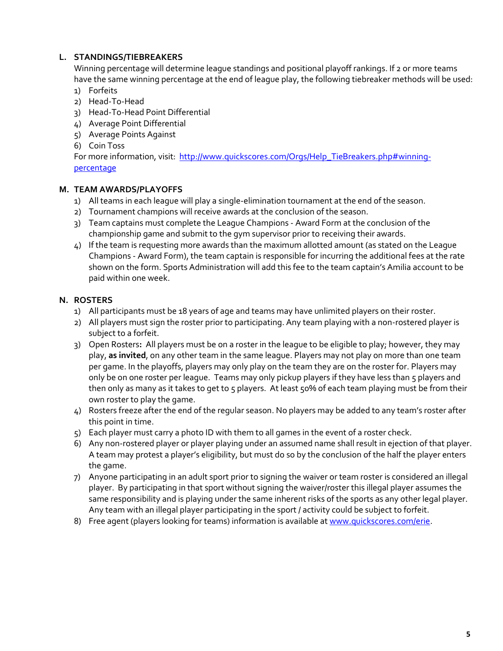# **L. STANDINGS/TIEBREAKERS**

Winning percentage will determine league standings and positional playoff rankings. If 2 or more teams have the same winning percentage at the end of league play, the following tiebreaker methods will be used:

- 1) Forfeits
- 2) Head-To-Head
- 3) Head-To-Head Point Differential
- 4) Average Point Differential
- 5) Average Points Against
- 6) Coin Toss

For more information, visit: [http://www.quickscores.com/Orgs/Help\\_TieBreakers.php#winning](http://www.quickscores.com/Orgs/Help_TieBreakers.php#winning-percentage)[percentage](http://www.quickscores.com/Orgs/Help_TieBreakers.php#winning-percentage)

# **M. TEAM AWARDS/PLAYOFFS**

- 1) All teams in each league will play a single-elimination tournament at the end of the season.
- 2) Tournament champions will receive awards at the conclusion of the season.
- 3) Team captains must complete the League Champions Award Form at the conclusion of the championship game and submit to the gym supervisor prior to receiving their awards.
- 4) If the team is requesting more awards than the maximum allotted amount (as stated on the League Champions - Award Form), the team captain is responsible for incurring the additional fees at the rate shown on the form. Sports Administration will add this fee to the team captain's Amilia account to be paid within one week.

# **N. ROSTERS**

- 1) All participants must be 18 years of age and teams may have unlimited players on their roster.
- 2) All players must sign the roster prior to participating. Any team playing with a non-rostered player is subject to a forfeit.
- 3) Open Rosters**:** All players must be on a roster in the league to be eligible to play; however, they may play, **as invited**, on any other team in the same league. Players may not play on more than one team per game. In the playoffs, players may only play on the team they are on the roster for. Players may only be on one roster per league. Teams may only pickup players if they have less than 5 players and then only as many as it takes to get to 5 players. At least 50% of each team playing must be from their own roster to play the game.
- 4) Rosters freeze after the end of the regular season. No players may be added to any team's roster after this point in time.
- 5) Each player must carry a photo ID with them to all games in the event of a roster check.
- 6) Any non-rostered player or player playing under an assumed name shall result in ejection of that player. A team may protest a player's eligibility, but must do so by the conclusion of the half the player enters the game.
- 7) Anyone participating in an adult sport prior to signing the waiver or team roster is considered an illegal player. By participating in that sport without signing the waiver/roster this illegal player assumes the same responsibility and is playing under the same inherent risks of the sports as any other legal player. Any team with an illegal player participating in the sport / activity could be subject to forfeit.
- 8) Free agent (players looking for teams) information is available a[t www.quickscores.com/erie.](file:///C:/PROGRAMS%201/Sports/Sports%20-%20Adult/Adult%20Volleyball/2011/Information%20Packets/www.quickscores.com/erie)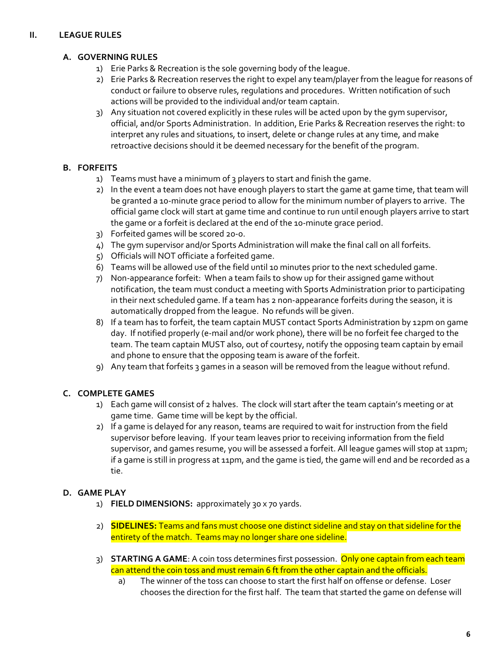# **II. LEAGUE RULES**

# **A. GOVERNING RULES**

- 1) Erie Parks & Recreation is the sole governing body of the league.
- 2) Erie Parks & Recreation reserves the right to expel any team/player from the league for reasons of conduct or failure to observe rules, regulations and procedures. Written notification of such actions will be provided to the individual and/or team captain.
- 3) Any situation not covered explicitly in these rules will be acted upon by the gym supervisor, official, and/or Sports Administration. In addition, Erie Parks & Recreation reserves the right: to interpret any rules and situations, to insert, delete or change rules at any time, and make retroactive decisions should it be deemed necessary for the benefit of the program.

# **B. FORFEITS**

- 1) Teams must have a minimum of 3 players to start and finish the game.
- 2) In the event a team does not have enough players to start the game at game time, that team will be granted a 10-minute grace period to allow for the minimum number of players to arrive. The official game clock will start at game time and continue to run until enough players arrive to start the game or a forfeit is declared at the end of the 10-minute grace period.
- 3) Forfeited games will be scored 20-0.
- 4) The gym supervisor and/or Sports Administration will make the final call on all forfeits.
- 5) Officials will NOT officiate a forfeited game.
- 6) Teams will be allowed use of the field until 10 minutes prior to the next scheduled game.
- 7) Non-appearance forfeit: When a team fails to show up for their assigned game without notification, the team must conduct a meeting with Sports Administration prior to participating in their next scheduled game. If a team has 2 non-appearance forfeits during the season, it is automatically dropped from the league. No refunds will be given.
- 8) If a team has to forfeit, the team captain MUST contact Sports Administration by 12pm on game day. If notified properly (e-mail and/or work phone), there will be no forfeit fee charged to the team. The team captain MUST also, out of courtesy, notify the opposing team captain by email and phone to ensure that the opposing team is aware of the forfeit.
- 9) Any team that forfeits 3 games in a season will be removed from the league without refund.

# **C. COMPLETE GAMES**

- 1) Each game will consist of 2 halves. The clock will start after the team captain's meeting or at game time. Game time will be kept by the official.
- 2) If a game is delayed for any reason, teams are required to wait for instruction from the field supervisor before leaving. If your team leaves prior to receiving information from the field supervisor, and games resume, you will be assessed a forfeit. All league games will stop at 11pm; if a game is still in progress at 11pm, and the game is tied, the game will end and be recorded as a tie.

# **D. GAME PLAY**

- 1) **FIELD DIMENSIONS:** approximately 30 x 70 yards.
- 2) **SIDELINES:** Teams and fans must choose one distinct sideline and stay on that sideline for the entirety of the match. Teams may no longer share one sideline.
- 3) **STARTING A GAME**: A coin toss determines first possession. Only one captain from each team can attend the coin toss and must remain 6 ft from the other captain and the officials.
	- a) The winner of the toss can choose to start the first half on offense or defense. Loser chooses the direction for the first half. The team that started the game on defense will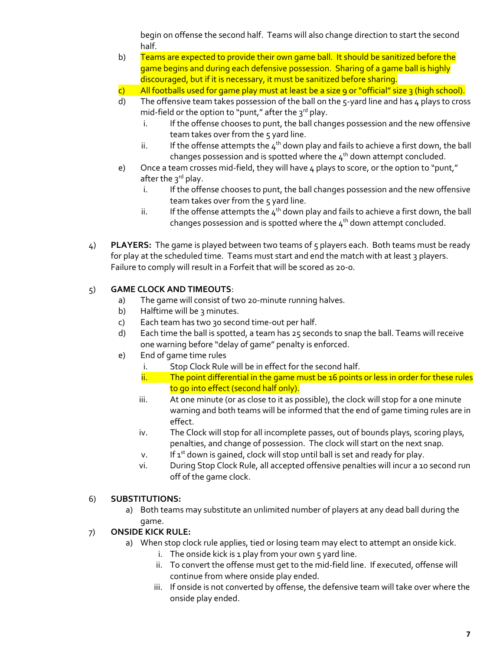begin on offense the second half. Teams will also change direction to start the second half.

- b) Teams are expected to provide their own game ball. It should be sanitized before the game begins and during each defensive possession. Sharing of a game ball is highly discouraged, but if it is necessary, it must be sanitized before sharing.
- c) All footballs used for game play must at least be a size 9 or "official" size 3 (high school).
- d) The offensive team takes possession of the ball on the  $5$ -yard line and has 4 plays to cross mid-field or the option to "punt," after the  $3^{rd}$  play.
	- i. If the offense chooses to punt, the ball changes possession and the new offensive team takes over from the 5 yard line.
	- ii. If the offense attempts the  $4<sup>th</sup>$  down play and fails to achieve a first down, the ball changes possession and is spotted where the  $4<sup>th</sup>$  down attempt concluded.
- e) Once a team crosses mid-field, they will have 4 plays to score, or the option to "punt," after the 3<sup>rd</sup> play.
	- i. If the offense chooses to punt, the ball changes possession and the new offensive team takes over from the 5 yard line.
	- ii. If the offense attempts the  $4<sup>th</sup>$  down play and fails to achieve a first down, the ball changes possession and is spotted where the  $4<sup>th</sup>$  down attempt concluded.
- 4) **PLAYERS:** The game is played between two teams of 5 players each. Both teams must be ready for play at the scheduled time. Teams must start and end the match with at least 3 players. Failure to comply will result in a Forfeit that will be scored as 20-0.

# 5) **GAME CLOCK AND TIMEOUTS**:

- a) The game will consist of two 20-minute running halves.
- b) Halftime will be 3 minutes.
- c) Each team has two 30 second time-out per half.
- d) Each time the ball is spotted, a team has 25 seconds to snap the ball. Teams will receive one warning before "delay of game" penalty is enforced.
- e) End of game time rules
	- i. Stop Clock Rule will be in effect for the second half.
	- $\frac{1}{11}$  The point differential in the game must be 16 points or less in order for these rules to go into effect (second half only).
	- iii. At one minute (or as close to it as possible), the clock will stop for a one minute warning and both teams will be informed that the end of game timing rules are in effect.
	- iv. The Clock will stop for all incomplete passes, out of bounds plays, scoring plays, penalties, and change of possession. The clock will start on the next snap.
	- v. If  $1^{st}$  down is gained, clock will stop until ball is set and ready for play.
	- vi. During Stop Clock Rule, all accepted offensive penalties will incur a 10 second run off of the game clock.

# 6) **SUBSTITUTIONS:**

a) Both teams may substitute an unlimited number of players at any dead ball during the game.

# 7) **ONSIDE KICK RULE:**

- a) When stop clock rule applies, tied or losing team may elect to attempt an onside kick.
	- i. The onside kick is  $1$  play from your own  $5$  yard line.
	- ii. To convert the offense must get to the mid-field line. If executed, offense will continue from where onside play ended.
	- iii. If onside is not converted by offense, the defensive team will take over where the onside play ended.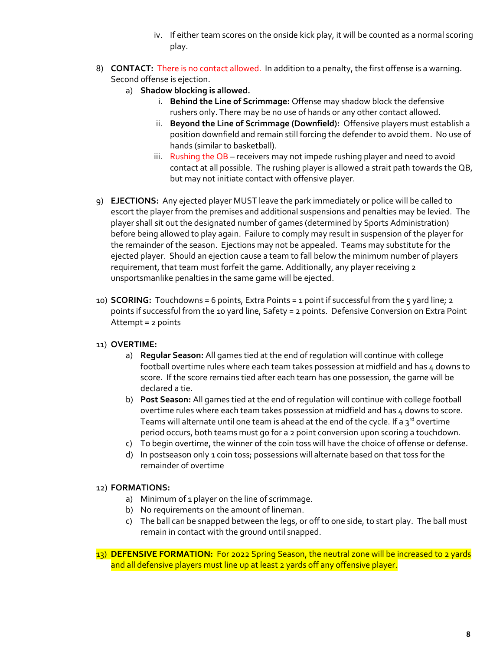- iv. If either team scores on the onside kick play, it will be counted as a normal scoring play.
- 8) **CONTACT:** There is no contact allowed. In addition to a penalty, the first offense is a warning. Second offense is ejection.
	- a) **Shadow blocking is allowed.**
		- i. **Behind the Line of Scrimmage:** Offense may shadow block the defensive rushers only. There may be no use of hands or any other contact allowed.
		- ii. **Beyond the Line of Scrimmage (Downfield):** Offensive players must establish a position downfield and remain still forcing the defender to avoid them. No use of hands (similar to basketball).
		- iii. Rushing the  $\overline{OB}$  receivers may not impede rushing player and need to avoid contact at all possible. The rushing player is allowed a strait path towards the QB, but may not initiate contact with offensive player.
- 9) **EJECTIONS:** Any ejected player MUST leave the park immediately or police will be called to escort the player from the premises and additional suspensions and penalties may be levied. The player shall sit out the designated number of games (determined by Sports Administration) before being allowed to play again. Failure to comply may result in suspension of the player for the remainder of the season. Ejections may not be appealed. Teams may substitute for the ejected player. Should an ejection cause a team to fall below the minimum number of players requirement, that team must forfeit the game. Additionally, any player receiving 2 unsportsmanlike penalties in the same game will be ejected.
- 10) **SCORING:** Touchdowns = 6 points, Extra Points = 1 point if successful from the 5 yard line; 2 points if successful from the 10 yard line, Safety = 2 points. Defensive Conversion on Extra Point Attempt = 2 points

# 11) **OVERTIME:**

- a) **Regular Season:** All games tied at the end of regulation will continue with college football overtime rules where each team takes possession at midfield and has 4 downs to score. If the score remains tied after each team has one possession, the game will be declared a tie.
- b) **Post Season:** All games tied at the end of regulation will continue with college football overtime rules where each team takes possession at midfield and has 4 downs to score. Teams will alternate until one team is ahead at the end of the cycle. If a  $3^{rd}$  overtime period occurs, both teams must go for a 2 point conversion upon scoring a touchdown.
- c) To begin overtime, the winner of the coin toss will have the choice of offense or defense.
- d) In postseason only 1 coin toss; possessions will alternate based on that toss for the remainder of overtime

# 12) **FORMATIONS:**

- a) Minimum of 1 player on the line of scrimmage.
- b) No requirements on the amount of lineman.
- c) The ball can be snapped between the legs, or off to one side, to start play. The ball must remain in contact with the ground until snapped.

13) **DEFENSIVE FORMATION:** For 2022 Spring Season, the neutral zone will be increased to 2 yards and all defensive players must line up at least 2 yards off any offensive player.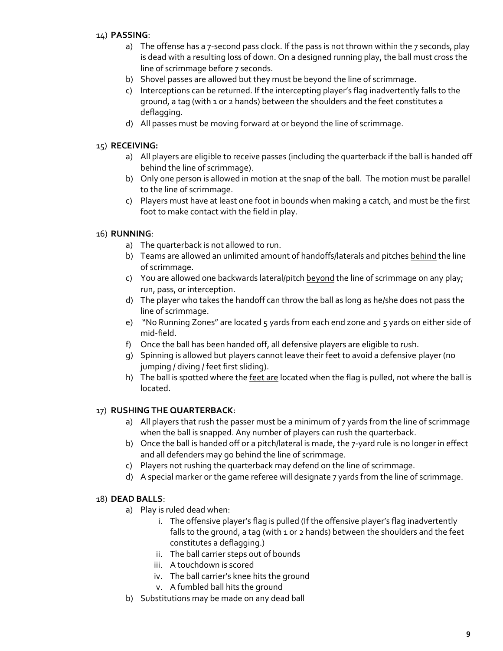# 14) **PASSING**:

- a) The offense has a 7-second pass clock. If the pass is not thrown within the 7 seconds, play is dead with a resulting loss of down. On a designed running play, the ball must cross the line of scrimmage before 7 seconds.
- b) Shovel passes are allowed but they must be beyond the line of scrimmage.
- c) Interceptions can be returned. If the intercepting player's flag inadvertently falls to the ground, a tag (with 1 or 2 hands) between the shoulders and the feet constitutes a deflagging.
- d) All passes must be moving forward at or beyond the line of scrimmage.

# 15) **RECEIVING:**

- a) All players are eligible to receive passes (including the quarterback if the ball is handed off behind the line of scrimmage).
- b) Only one person is allowed in motion at the snap of the ball. The motion must be parallel to the line of scrimmage.
- c) Players must have at least one foot in bounds when making a catch, and must be the first foot to make contact with the field in play.

# 16) **RUNNING**:

- a) The quarterback is not allowed to run.
- b) Teams are allowed an unlimited amount of handoffs/laterals and pitches behind the line of scrimmage.
- c) You are allowed one backwards lateral/pitch beyond the line of scrimmage on any play; run, pass, or interception.
- d) The player who takes the handoff can throw the ball as long as he/she does not pass the line of scrimmage.
- e) "No Running Zones" are located 5 yards from each end zone and 5 yards on either side of mid-field.
- f) Once the ball has been handed off, all defensive players are eligible to rush.
- g) Spinning is allowed but players cannot leave their feet to avoid a defensive player (no jumping / diving / feet first sliding).
- h) The ball is spotted where the feet are located when the flag is pulled, not where the ball is located.

# 17) **RUSHING THE QUARTERBACK**:

- a) All players that rush the passer must be a minimum of 7 yards from the line of scrimmage when the ball is snapped. Any number of players can rush the quarterback.
- b) Once the ball is handed off or a pitch/lateral is made, the 7-yard rule is no longer in effect and all defenders may go behind the line of scrimmage.
- c) Players not rushing the quarterback may defend on the line of scrimmage.
- d) A special marker or the game referee will designate 7 yards from the line of scrimmage.

# 18) **DEAD BALLS**:

- a) Play is ruled dead when:
	- i. The offensive player's flag is pulled (If the offensive player's flag inadvertently falls to the ground, a tag (with 1 or 2 hands) between the shoulders and the feet constitutes a deflagging.)
	- ii. The ball carrier steps out of bounds
	- iii. A touchdown is scored
	- iv. The ball carrier's knee hits the ground
	- v. A fumbled ball hits the ground
- b) Substitutions may be made on any dead ball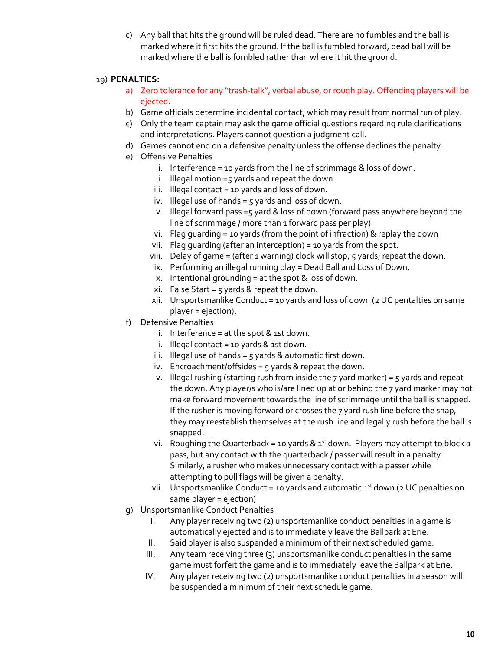c) Any ball that hits the ground will be ruled dead. There are no fumbles and the ball is marked where it first hits the ground. If the ball is fumbled forward, dead ball will be marked where the ball is fumbled rather than where it hit the ground.

# 19) **PENALTIES:**

- a) Zero tolerance for any "trash-talk", verbal abuse, or rough play. Offending players will be ejected.
- b) Game officials determine incidental contact, which may result from normal run of play.
- c) Only the team captain may ask the game official questions regarding rule clarifications and interpretations. Players cannot question a judgment call.
- d) Games cannot end on a defensive penalty unless the offense declines the penalty.
- e) Offensive Penalties
	- i. Interference = 10 yards from the line of scrimmage & loss of down.
	- ii. Illegal motion =5 yards and repeat the down.
	- iii. Illegal contact = 10 yards and loss of down.
	- iv. Illegal use of hands =  $5$  yards and loss of down.
	- v. Illegal forward pass =5 yard & loss of down (forward pass anywhere beyond the line of scrimmage / more than 1 forward pass per play).
	- vi. Flag guarding = 10 yards (from the point of infraction) & replay the down
	- vii. Flag guarding (after an interception) = 10 yards from the spot.
	- viii. Delay of game = (after 1 warning) clock will stop,  $5$  yards; repeat the down.
	- ix. Performing an illegal running play = Dead Ball and Loss of Down.
	- x. Intentional grounding = at the spot & loss of down.
	- xi. False Start =  $5$  yards & repeat the down.
	- xii. Unsportsmanlike Conduct = 10 yards and loss of down (2 UC pentalties on same player = ejection).
- f) Defensive Penalties
	- i. Interference = at the spot  $&$  1st down.
	- ii. Illegal contact = 10 yards  $&$  1st down.
	- iii. Illegal use of hands =  $5$  yards & automatic first down.
	- iv. Encroachment/offsides =  $5$  yards & repeat the down.
	- v. Illegal rushing (starting rush from inside the 7 yard marker) = 5 yards and repeat the down. Any player/s who is/are lined up at or behind the 7 yard marker may not make forward movement towards the line of scrimmage until the ball is snapped. If the rusher is moving forward or crosses the 7 yard rush line before the snap, they may reestablish themselves at the rush line and legally rush before the ball is snapped.
	- vi. Roughing the Quarterback = 10 yards &  $1<sup>st</sup>$  down. Players may attempt to block a pass, but any contact with the quarterback / passer will result in a penalty. Similarly, a rusher who makes unnecessary contact with a passer while attempting to pull flags will be given a penalty.
	- vii. Unsportsmanlike Conduct = 10 yards and automatic  $1^{st}$  down (2 UC penalties on same player = ejection)
- g) Unsportsmanlike Conduct Penalties
	- I. Any player receiving two (2) unsportsmanlike conduct penalties in a game is automatically ejected and is to immediately leave the Ballpark at Erie.
	- II. Said player is also suspended a minimum of their next scheduled game.
	- III. Any team receiving three (3) unsportsmanlike conduct penalties in the same game must forfeit the game and is to immediately leave the Ballpark at Erie.
	- IV. Any player receiving two (2) unsportsmanlike conduct penalties in a season will be suspended a minimum of their next schedule game.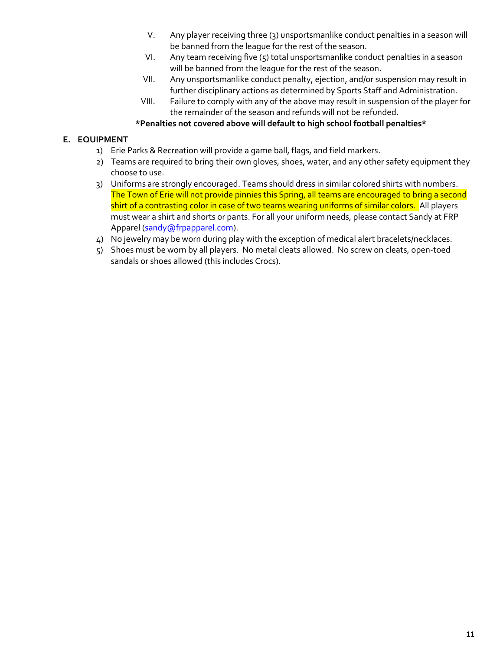- V. Any player receiving three (3) unsportsmanlike conduct penalties in a season will be banned from the league for the rest of the season.
- VI. Any team receiving five (5) total unsportsmanlike conduct penalties in a season will be banned from the league for the rest of the season.
- VII. Any unsportsmanlike conduct penalty, ejection, and/or suspension may result in further disciplinary actions as determined by Sports Staff and Administration.
- VIII. Failure to comply with any of the above may result in suspension of the player for the remainder of the season and refunds will not be refunded.

# **\*Penalties not covered above will default to high school football penalties\***

# **E. EQUIPMENT**

- 1) Erie Parks & Recreation will provide a game ball, flags, and field markers.
- 2) Teams are required to bring their own gloves, shoes, water, and any other safety equipment they choose to use.
- 3) Uniforms are strongly encouraged. Teams should dress in similar colored shirts with numbers. The Town of Erie will not provide pinnies this Spring, all teams are encouraged to bring a second shirt of a contrasting color in case of two teams wearing uniforms of similar colors. All players must wear a shirt and shorts or pants. For all your uniform needs, please contact Sandy at FRP Apparel [\(sandy@frpapparel.com\)](mailto:sandy@frpapparel.com).
- 4) No jewelry may be worn during play with the exception of medical alert bracelets/necklaces.
- 5) Shoes must be worn by all players. No metal cleats allowed. No screw on cleats, open-toed sandals or shoes allowed (this includes Crocs).